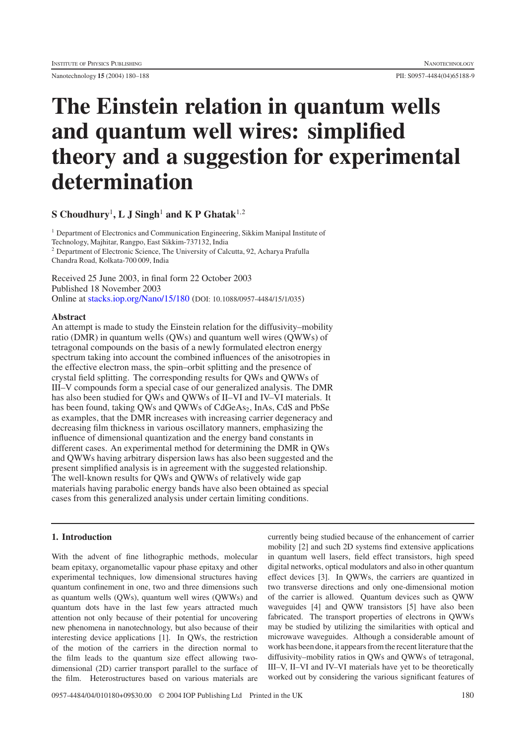Nanotechnology **15** (2004) 180–188 PII: S0957-4484(04)65188-9

# **The Einstein relation in quantum wells and quantum well wires: simplified theory and a suggestion for experimental determination**

# **S Choudhury**<sup>1</sup> **, L J Singh**<sup>1</sup> **and K P Ghatak**<sup>1</sup>,<sup>2</sup>

<sup>1</sup> Department of Electronics and Communication Engineering, Sikkim Manipal Institute of Technology, Majhitar, Rangpo, East Sikkim-737132, India <sup>2</sup> Department of Electronic Science, The University of Calcutta, 92, Acharya Prafulla Chandra Road, Kolkata-700 009, India

Received 25 June 2003, in final form 22 October 2003 Published 18 November 2003 Online at [stacks.iop.org/Nano/15/180](http://stacks.iop.org/Nano/15/180) (DOI: 10.1088/0957-4484/15/1/035)

### **Abstract**

An attempt is made to study the Einstein relation for the diffusivity–mobility ratio (DMR) in quantum wells (QWs) and quantum well wires (QWWs) of tetragonal compounds on the basis of a newly formulated electron energy spectrum taking into account the combined influences of the anisotropies in the effective electron mass, the spin–orbit splitting and the presence of crystal field splitting. The corresponding results for QWs and QWWs of III–V compounds form a special case of our generalized analysis. The DMR has also been studied for QWs and QWWs of II–VI and IV–VI materials. It has been found, taking QWs and QWWs of CdGeAs<sub>2</sub>, InAs, CdS and PbSe as examples, that the DMR increases with increasing carrier degeneracy and decreasing film thickness in various oscillatory manners, emphasizing the influence of dimensional quantization and the energy band constants in different cases. An experimental method for determining the DMR in QWs and QWWs having arbitrary dispersion laws has also been suggested and the present simplified analysis is in agreement with the suggested relationship. The well-known results for QWs and QWWs of relatively wide gap materials having parabolic energy bands have also been obtained as special cases from this generalized analysis under certain limiting conditions.

#### **1. Introduction**

With the advent of fine lithographic methods, molecular beam epitaxy, organometallic vapour phase epitaxy and other experimental techniques, low dimensional structures having quantum confinement in one, two and three dimensions such as quantum wells (QWs), quantum well wires (QWWs) and quantum dots have in the last few years attracted much attention not only because of their potential for uncovering new phenomena in nanotechnology, but also because of their interesting device applications [1]. In QWs, the restriction of the motion of the carriers in the direction normal to the film leads to the quantum size effect allowing twodimensional (2D) carrier transport parallel to the surface of the film. Heterostructures based on various materials are

currently being studied because of the enhancement of carrier mobility [2] and such 2D systems find extensive applications in quantum well lasers, field effect transistors, high speed digital networks, optical modulators and also in other quantum effect devices [3]. In QWWs, the carriers are quantized in two transverse directions and only one-dimensional motion of the carrier is allowed. Quantum devices such as QWW waveguides [4] and QWW transistors [5] have also been fabricated. The transport properties of electrons in QWWs may be studied by utilizing the similarities with optical and microwave waveguides. Although a considerable amount of work has been done, it appears from the recent literature that the diffusivity–mobility ratios in QWs and QWWs of tetragonal, III–V, II–VI and IV–VI materials have yet to be theoretically worked out by considering the various significant features of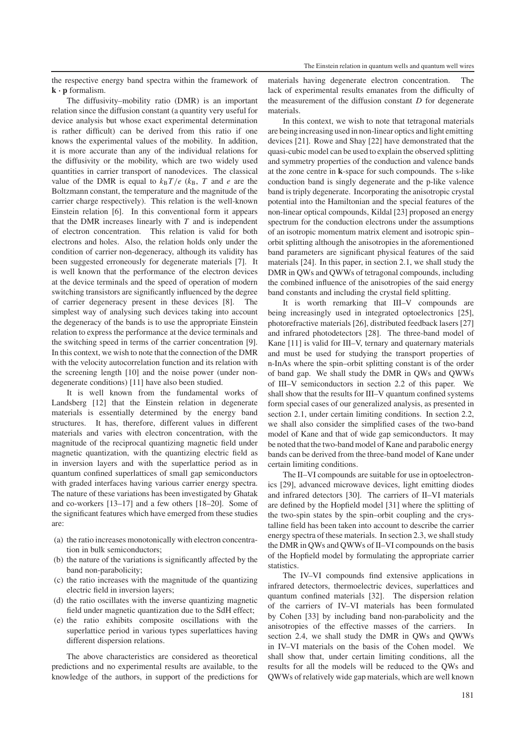the respective energy band spectra within the framework of **k** *·* **p** formalism.

The diffusivity–mobility ratio (DMR) is an important relation since the diffusion constant (a quantity very useful for device analysis but whose exact experimental determination is rather difficult) can be derived from this ratio if one knows the experimental values of the mobility. In addition, it is more accurate than any of the individual relations for the diffusivity or the mobility, which are two widely used quantities in carrier transport of nanodevices. The classical value of the DMR is equal to  $k_B T/e$  ( $k_B$ , *T* and *e* are the Boltzmann constant, the temperature and the magnitude of the carrier charge respectively). This relation is the well-known Einstein relation [6]. In this conventional form it appears that the DMR increases linearly with *T* and is independent of electron concentration. This relation is valid for both electrons and holes. Also, the relation holds only under the condition of carrier non-degeneracy, although its validity has been suggested erroneously for degenerate materials [7]. It is well known that the performance of the electron devices at the device terminals and the speed of operation of modern switching transistors are significantly influenced by the degree of carrier degeneracy present in these devices [8]. The simplest way of analysing such devices taking into account the degeneracy of the bands is to use the appropriate Einstein relation to express the performance at the device terminals and the switching speed in terms of the carrier concentration [9]. In this context, we wish to note that the connection of the DMR with the velocity autocorrelation function and its relation with the screening length [10] and the noise power (under nondegenerate conditions) [11] have also been studied.

It is well known from the fundamental works of Landsberg [12] that the Einstein relation in degenerate materials is essentially determined by the energy band structures. It has, therefore, different values in different materials and varies with electron concentration, with the magnitude of the reciprocal quantizing magnetic field under magnetic quantization, with the quantizing electric field as in inversion layers and with the superlattice period as in quantum confined superlattices of small gap semiconductors with graded interfaces having various carrier energy spectra. The nature of these variations has been investigated by Ghatak and co-workers [13–17] and a few others [18–20]. Some of the significant features which have emerged from these studies are:

- (a) the ratio increases monotonically with electron concentration in bulk semiconductors;
- (b) the nature of the variations is significantly affected by the band non-parabolicity;
- (c) the ratio increases with the magnitude of the quantizing electric field in inversion layers;
- (d) the ratio oscillates with the inverse quantizing magnetic field under magnetic quantization due to the SdH effect;
- (e) the ratio exhibits composite oscillations with the superlattice period in various types superlattices having different dispersion relations.

The above characteristics are considered as theoretical predictions and no experimental results are available, to the knowledge of the authors, in support of the predictions for materials having degenerate electron concentration. The lack of experimental results emanates from the difficulty of the measurement of the diffusion constant *D* for degenerate materials.

In this context, we wish to note that tetragonal materials are being increasing used in non-linear optics and light emitting devices [21]. Rowe and Shay [22] have demonstrated that the quasi-cubic model can be used to explain the observed splitting and symmetry properties of the conduction and valence bands at the zone centre in **k**-space for such compounds. The s-like conduction band is singly degenerate and the p-like valence band is triply degenerate. Incorporating the anisotropic crystal potential into the Hamiltonian and the special features of the non-linear optical compounds, Kildal [23] proposed an energy spectrum for the conduction electrons under the assumptions of an isotropic momentum matrix element and isotropic spin– orbit splitting although the anisotropies in the aforementioned band parameters are significant physical features of the said materials [24]. In this paper, in section 2.1, we shall study the DMR in QWs and QWWs of tetragonal compounds, including the combined influence of the anisotropies of the said energy band constants and including the crystal field splitting.

It is worth remarking that III–V compounds are being increasingly used in integrated optoelectronics [25], photorefractive materials [26], distributed feedback lasers [27] and infrared photodetectors [28]. The three-band model of Kane [11] is valid for III–V, ternary and quaternary materials and must be used for studying the transport properties of n-InAs where the spin–orbit splitting constant is of the order of band gap. We shall study the DMR in QWs and QWWs of III–V semiconductors in section 2.2 of this paper. We shall show that the results for III–V quantum confined systems form special cases of our generalized analysis, as presented in section 2.1, under certain limiting conditions. In section 2.2, we shall also consider the simplified cases of the two-band model of Kane and that of wide gap semiconductors. It may be noted that the two-band model of Kane and parabolic energy bands can be derived from the three-band model of Kane under certain limiting conditions.

The II–VI compounds are suitable for use in optoelectronics [29], advanced microwave devices, light emitting diodes and infrared detectors [30]. The carriers of II–VI materials are defined by the Hopfield model [31] where the splitting of the two-spin states by the spin–orbit coupling and the crystalline field has been taken into account to describe the carrier energy spectra of these materials. In section 2.3, we shall study the DMR in QWs and QWWs of II–VI compounds on the basis of the Hopfield model by formulating the appropriate carrier statistics.

The IV–VI compounds find extensive applications in infrared detectors, thermoelectric devices, superlattices and quantum confined materials [32]. The dispersion relation of the carriers of IV–VI materials has been formulated by Cohen [33] by including band non-parabolicity and the anisotropies of the effective masses of the carriers. In section 2.4, we shall study the DMR in QWs and QWWs in IV–VI materials on the basis of the Cohen model. We shall show that, under certain limiting conditions, all the results for all the models will be reduced to the QWs and QWWs of relatively wide gap materials, which are well known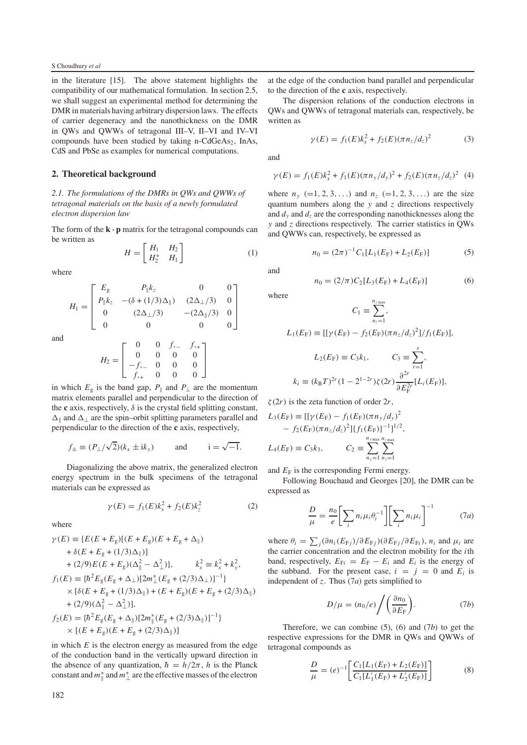#### S Choudhury *et al*

in the literature [15]. The above statement highlights the compatibility of our mathematical formulation. In section 2.5, we shall suggest an experimental method for determining the DMR in materials having arbitrary dispersion laws. The effects of carrier degeneracy and the nanothickness on the DMR in QWs and QWWs of tetragonal III–V, II–VI and IV–VI compounds have been studied by taking n-CdGeAs<sub>2</sub>, InAs, CdS and PbSe as examples for numerical computations.

#### **2. Theoretical background**

*2.1. The formulations of the DMRs in QWs and QWWs of tetragonal materials on the basis of a newly formulated electron dispersion law*

The form of the  $\mathbf{k} \cdot \mathbf{p}$  matrix for the tetragonal compounds can be written as

$$
H = \begin{bmatrix} H_1 & H_2 \\ H_2^+ & H_1 \end{bmatrix} \tag{1}
$$

where

$$
H_1 = \begin{bmatrix} E_g & P_{\parallel} k_z & 0 & 0 \\ P_{\parallel} k_z & -(\delta + (1/3)\Delta_{\parallel}) & (2\Delta_{\perp}/3) & 0 \\ 0 & (2\Delta_{\perp}/3) & -(2\Delta_{\parallel}/3) & 0 \\ 0 & 0 & 0 & 0 \end{bmatrix}
$$

and

$$
H_2 = \begin{bmatrix} 0 & 0 & f_{1} - f_{1} \\ 0 & 0 & 0 & 0 \\ -f_{2} - f_{2} & 0 & 0 & 0 \\ f_{3} + f_{4} & 0 & 0 & 0 \end{bmatrix}
$$

in which  $E_g$  is the band gap,  $P_{\parallel}$  and  $P_{\perp}$  are the momentum matrix elements parallel and perpendicular to the direction of the  $\bf{c}$  axis, respectively,  $\delta$  is the crystal field splitting constant,  $\Delta_{\parallel}$  and  $\Delta_{\perp}$  are the spin–orbit splitting parameters parallel and perpendicular to the direction of the **c** axis, respectively,

$$
f_{\pm} \equiv (P_{\perp}/\sqrt{2})(k_x \pm ik_y)
$$
 and  $i = \sqrt{-1}$ .

Diagonalizing the above matrix, the generalized electron energy spectrum in the bulk specimens of the tetragonal materials can be expressed as

$$
\gamma(E) = f_1(E)k_s^2 + f_2(E)k_z^2 \tag{2}
$$

where

$$
\gamma(E) = \{E(E + E_g)[(E + E_g)(E + E_g + \Delta_{\parallel})
$$
  
+  $\delta(E + E_g + (1/3)\Delta_{\parallel})]$   
+  $(2/9)E(E + E_g)(\Delta_{\parallel}^2 - \Delta_{\perp}^2)\}, \qquad k_s^2 = k_x^2 + k_y^2,$   
 $f_1(E) = \{\hbar^2 E_g(E_g + \Delta_{\perp})[2m_{\perp}^*(E_g + (2/3)\Delta_{\perp})]^{-1}\}\times [\delta(E + E_g + (1/3)\Delta_{\parallel}) + (E + E_g)(E + E_g + (2/3)\Delta_{\parallel})$   
+  $(2/9)(\Delta_{\parallel}^2 - \Delta_{\perp}^2)\},$   
 $f_2(E) = \{\hbar^2 E_g(E_g + \Delta_{\parallel})[2m_{\parallel}^*(E_g + (2/3)\Delta_{\parallel})]^{-1}\}\times [(E + E_g)(E + E_g + (2/3)\Delta_{\parallel})]$ 

in which *E* is the electron energy as measured from the edge of the conduction band in the vertically upward direction in the absence of any quantization,  $\hbar = h/2\pi$ , *h* is the Planck constant and  $m^*_{\parallel}$  and  $m^*_{\perp}$  are the effective masses of the electron

at the edge of the conduction band parallel and perpendicular to the direction of the **c** axis, respectively.

The dispersion relations of the conduction electrons in QWs and QWWs of tetragonal materials can, respectively, be written as

$$
\gamma(E) = f_1(E)k_s^2 + f_2(E)(\pi n_z/d_z)^2 \tag{3}
$$

and

$$
\gamma(E) = f_1(E)k_x^2 + f_1(E)(\pi n_y/d_y)^2 + f_2(E)(\pi n_z/d_z)^2
$$
 (4)

where  $n_{y} (=1, 2, 3, ...)$  and  $n_{z} (=1, 2, 3, ...)$  are the size quantum numbers along the *y* and *z* directions respectively and  $d<sub>y</sub>$  and  $d<sub>z</sub>$  are the corresponding nanothicknesses along the *y* and *z* directions respectively. The carrier statistics in QWs and QWWs can, respectively, be expressed as

$$
n_0 = (2\pi)^{-1} C_1 [L_1(E_F) + L_2(E_F)] \tag{5}
$$

and

$$
n_0 = (2/\pi)C_2[L_3(E_F) + L_4(E_F)]
$$
 (6)

where

$$
C_1 \equiv \sum_{n_z=1}^{n_{zmax}},
$$
  

$$
L_1(E_{\rm F}) \equiv [[\gamma(E_{\rm F}) - f_2(E_{\rm F})(\pi n_z/d_z)^2]/f_1(E_{\rm F})],
$$

$$
L_2(E_F) \equiv C_3 k_1, \qquad C_3 \equiv \sum_{r=1}^s,
$$
  

$$
k_i \equiv (k_{\rm B} T)^{2r} (1 - 2^{1-2r}) \zeta(2r) \frac{\partial^{2r}}{\partial E_F^{2r}} [L_i(E_F)],
$$

 $\zeta(2r)$  is the zeta function of order  $2r$ ,

$$
L_3(E_{\rm F}) = [[\gamma(E_{\rm F}) - f_1(E_{\rm F})(\pi n_y/d_y)]^2 - f_2(E_{\rm F})(\pi n_z/d_z)^2][f_1(E_{\rm F})]^{-1}]^{1/2},
$$
  

$$
L_4(E_{\rm F}) \equiv C_3 k_3, \qquad C_2 \equiv \sum_{n_y=1}^{n_{\rm ymax}} \sum_{n_z=1}^{n_{\rm zmax}}
$$

and  $E_F$  is the corresponding Fermi energy.

Following Bouchaud and Georges [20], the DMR can be expressed as

$$
\frac{D}{\mu} = \frac{n_0}{e} \bigg[ \sum_i n_i \mu_i \theta_i^{-1} \bigg] \bigg[ \sum_i n_i \mu_i \bigg]^{-1} \tag{7a}
$$

where  $\theta_i = \sum_j (\partial n_i (E_{Fj}) / \partial E_{Fj}) (\partial E_{Fj} / \partial E_{Fi})$ ,  $n_i$  and  $\mu_i$  are the carrier concentration and the electron mobility for the *i*th band, respectively,  $E_{Fi} = E_F - E_i$  and  $E_i$  is the energy of the subband. For the present case,  $i = j = 0$  and  $E_i$  is independent of  $z$ . Thus  $(7a)$  gets simplified to

$$
D/\mu = (n_0/e) / \left(\frac{\partial n_0}{\partial E_{\rm F}}\right).
$$
 (7b)

Therefore, we can combine (5), (6) and (7*b*) to get the respective expressions for the DMR in QWs and QWWs of tetragonal compounds as

$$
\frac{D}{\mu} = (e)^{-1} \left[ \frac{C_1 [L_1(E_F) + L_2(E_F)]}{C_1 [L'_1(E_F) + L'_2(E_F)]} \right]
$$
(8)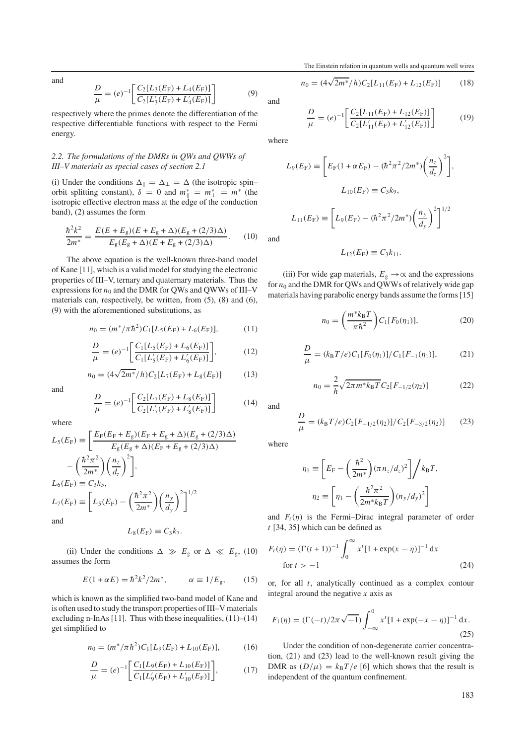The Einstein relation in quantum wells and quantum well wires

 $\sqrt{2m^*}/h$ ) $C_2[L_{11}(E_F) + L_{12}(E_F)]$  (18)

and

$$
\frac{D}{\mu} = (e)^{-1} \left[ \frac{C_2 [L_3(E_F) + L_4(E_F)]}{C_2 [L'_3(E_F) + L'_4(E_F)]} \right]
$$
(9)

respectively where the primes denote the differentiation of the respective differentiable functions with respect to the Fermi energy.

#### *2.2. The formulations of the DMRs in QWs and QWWs of III–V materials as special cases of section 2.1*

(i) Under the conditions  $\Delta_{\parallel} = \Delta_{\perp} = \Delta$  (the isotropic spin– orbit splitting constant),  $\delta = 0$  and  $m^*_{\parallel} = m^*_{\perp} = m^*$  (the isotropic effective electron mass at the edge of the conduction band), (2) assumes the form

$$
\frac{\hbar^2 k^2}{2m^*} = \frac{E(E + E_g)(E + E_g + \Delta)(E_g + (2/3)\Delta)}{E_g(E_g + \Delta)(E + E_g + (2/3)\Delta)}.
$$
 (10)

The above equation is the well-known three-band model of Kane [11], which is a valid model for studying the electronic properties of III–V, ternary and quaternary materials. Thus the expressions for  $n_0$  and the DMR for QWs and QWWs of III–V materials can, respectively, be written, from (5), (8) and (6), (9) with the aforementioned substitutions, as

$$
n_0 = (m^*/\pi \hbar^2) C_1 [L_5(E_F) + L_6(E_F)],
$$
 (11)

$$
\frac{D}{\mu} = (e)^{-1} \left[ \frac{C_1 [L_5(E_F) + L_6(E_F)]}{C_1 [L_5'(E_F) + L_6'(E_F)]} \right],
$$
(12)

$$
n_0 = (4\sqrt{2m^*}/h)C_2[L_7(E_F) + L_8(E_F)]
$$
 (13)

and

$$
\frac{D}{\mu} = (e)^{-1} \left[ \frac{C_2 [L_7(E_F) + L_8(E_F)]}{C_2 [L_7'(E_F) + L_8'(E_F)]} \right]
$$
(14)

where

$$
L_5(E_{\rm F}) \equiv \left[ \frac{E_{\rm F}(E_{\rm F} + E_{\rm g})(E_{\rm F} + E_{\rm g} + \Delta)(E_{\rm g} + (2/3)\Delta)}{E_{\rm g}(E_{\rm g} + \Delta)(E_{\rm F} + E_{\rm g} + (2/3)\Delta)} - \left(\frac{\hbar^2 \pi^2}{2m^*}\right) \left(\frac{n_z}{d_z}\right)^2 \right],
$$
  
\n
$$
L_6(E_{\rm F}) \equiv C_3 k_5,
$$
  
\n
$$
L_7(E_{\rm F}) \equiv \left[ L_5(E_{\rm F}) - \left(\frac{\hbar^2 \pi^2}{2m^*}\right) \left(\frac{n_y}{d_y}\right)^2 \right]^{1/2}
$$
  
\nand

and

$$
L_8(E_{\rm F})\equiv C_3k_7.
$$

(ii) Under the conditions  $\Delta \gg E_{\rm g}$  or  $\Delta \ll E_{\rm g}$ , (10) assumes the form

$$
E(1+\alpha E) = \hbar^2 k^2 / 2m^*, \qquad \alpha \equiv 1/E_{\rm g}, \qquad (15)
$$

which is known as the simplified two-band model of Kane and is often used to study the transport properties of III–V materials excluding n-InAs  $[11]$ . Thus with these inequalities,  $(11)$ – $(14)$ get simplified to

$$
n_0 = (m^*/\pi \hbar^2) C_1 [L_9(E_F) + L_{10}(E_F)],
$$
 (16)

$$
\frac{D}{\mu} = (e)^{-1} \left[ \frac{C_1 [L_9(E_F) + L_{10}(E_F)]}{C_1 [L'_9(E_F) + L'_{10}(E_F)]} \right],\tag{17}
$$

and

 $n_0 = (4)$ 

√

$$
\frac{D}{\mu} = (e)^{-1} \left[ \frac{C_2 [L_{11}(E_F) + L_{12}(E_F)]}{C_2 [L'_{11}(E_F) + L'_{12}(E_F)]} \right]
$$
(19)

where

$$
L_9(E_{\rm F}) \equiv \left[ E_{\rm F} (1 + \alpha E_{\rm F}) - (\hbar^2 \pi^2 / 2m^*) \left( \frac{n_z}{d_z} \right)^2 \right],
$$
  

$$
L_{10}(E_{\rm F}) \equiv C_3 k_9,
$$
  

$$
L_{11}(E_{\rm F}) \equiv \left[ L_9(E_{\rm F}) - (\hbar^2 \pi^2 / 2m^*) \left( \frac{n_y}{d_y} \right)^2 \right]^{1/2}
$$

and

$$
L_{12}(E_{\mathrm{F}})\equiv C_3k_{11}.
$$

(iii) For wide gap materials,  $E_g \rightarrow \infty$  and the expressions for *n*<sup>0</sup> and the DMR for QWs and QWWs of relatively wide gap materials having parabolic energy bands assume the forms [15]

$$
n_0 = \left(\frac{m^* k_B T}{\pi \hbar^2}\right) C_1[F_0(\eta_1)],\tag{20}
$$

$$
\frac{D}{\mu} = (k_{\rm B}T/e)C_1[F_0(\eta_1)]/C_1[F_{-1}(\eta_1)],\tag{21}
$$

$$
n_0 = \frac{2}{h} \sqrt{2\pi m^* k_B T} C_2 [F_{-1/2}(\eta_2)]
$$
 (22)

and

$$
\frac{D}{\mu} = (k_{\rm B}T/e)C_2[F_{-1/2}(\eta_2)]/C_2[F_{-3/2}(\eta_2)] \tag{23}
$$

where

$$
\eta_1 \equiv \left[ E_{\rm F} - \left( \frac{\hbar^2}{2m^*} \right) (\pi n_z / d_z)^2 \right] / k_{\rm B} T,
$$

$$
\eta_2 \equiv \left[ \eta_1 - \left( \frac{\hbar^2 \pi^2}{2m^* k_{\rm B} T} \right) (n_y / d_y)^2 \right]
$$

and  $F_t(\eta)$  is the Fermi–Dirac integral parameter of order *t* [34, 35] which can be defined as

$$
F_t(\eta) = (\Gamma(t+1))^{-1} \int_0^\infty x^t [1 + \exp(x-\eta)]^{-1} dx
$$
  
for  $t > -1$  (24)

or, for all *t*, analytically continued as a complex contour integral around the negative *x* axis as

$$
F_1(\eta) = (\Gamma(-t)/2\pi\sqrt{-1}) \int_{-\infty}^0 x^t [1 + \exp(-x - \eta)]^{-1} dx.
$$
\n(25)

Under the condition of non-degenerate carrier concentration, (21) and (23) lead to the well-known result giving the DMR as  $(D/\mu) = k_B T/e$  [6] which shows that the result is independent of the quantum confinement.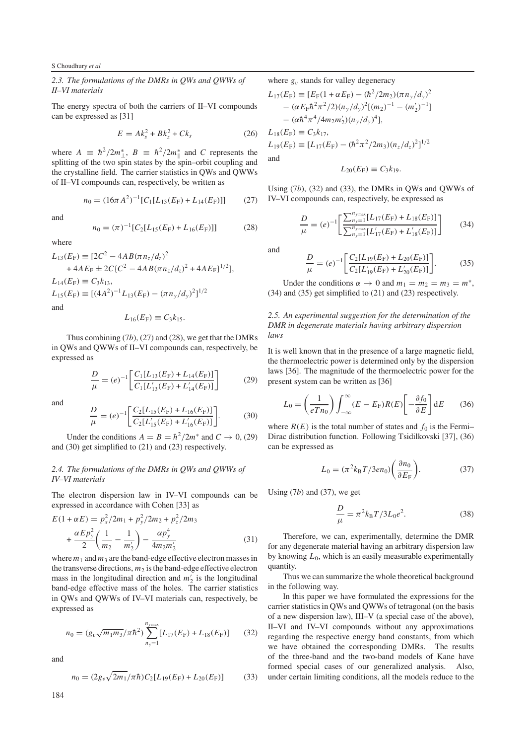#### *2.3. The formulations of the DMRs in QWs and QWWs of II–VI materials*

The energy spectra of both the carriers of II–VI compounds can be expressed as [31]

$$
E = Ak_s^2 + Bk_z^2 + Ck_s
$$
 (26)

where  $A \equiv \hbar^2/2m_{\perp}^*$ ,  $B \equiv \hbar^2/2m_{\parallel}^*$  and *C* represents the splitting of the two spin states by the spin–orbit coupling and the crystalline field. The carrier statistics in QWs and QWWs of II–VI compounds can, respectively, be written as

$$
n_0 = (16\pi A^2)^{-1} [C_1[L_{13}(E_F) + L_{14}(E_F)]] \tag{27}
$$

 $n_0 = (\pi)^{-1} [C_2[L_{15}(E_F) + L_{16}(E_F)]]$  (28)

and

where  

$$
L_{13}(E_{\rm F}) = [2C^2 - 4AB(\pi n_z/d_z)^2]
$$

+ 4*AE*<sub>F</sub> ± 2*C*{*C*<sup>2</sup> − 4*AB*(π*n<sub>z</sub>*/*d<sub>z</sub>*)<sup>2</sup> + 4*AE*<sub>F</sub>}<sup>1/2</sup>],  $L_{14}(E_{\rm F}) \equiv C_3 k_{13}$  $L_{15}(E_{\rm F}) \equiv [(4A^2)^{-1}L_{13}(E_{\rm F}) - (\pi n_y/d_y)^2]^{1/2}$ and

$$
L_{16}(E_{\rm F})\equiv C_3k_{15}.
$$

Thus combining (7*b*), (27) and (28), we get that the DMRs in QWs and QWWs of II–VI compounds can, respectively, be expressed as

$$
\frac{D}{\mu} = (e)^{-1} \left[ \frac{C_1 [L_{13}(E_F) + L_{14}(E_F)]}{C_1 [L'_{13}(E_F) + L'_{14}(E_F)]} \right]
$$
(29)

and

$$
\frac{D}{\mu} = (e)^{-1} \left[ \frac{C_2 [L_{15}(E_F) + L_{16}(E_F)]}{C_2 [L'_{15}(E_F) + L'_{16}(E_F)]} \right].
$$
 (30)

Under the conditions  $A = B = \hbar^2 / 2m^*$  and  $C \rightarrow 0$ , (29) and (30) get simplified to (21) and (23) respectively.

#### *2.4. The formulations of the DMRs in QWs and QWWs of IV–VI materials*

The electron dispersion law in IV–VI compounds can be expressed in accordance with Cohen [33] as

$$
E(1 + \alpha E) = p_x^2 / 2m_1 + p_y^2 / 2m_2 + p_z^2 / 2m_3
$$
  
+ 
$$
\frac{\alpha E p_y^2}{2} \left( \frac{1}{m_2} - \frac{1}{m'_2} \right) - \frac{\alpha p_y^4}{4m_2 m'_2}
$$
 (31)

where  $m_1$  and  $m_3$  are the band-edge effective electron masses in the transverse directions,  $m_2$  is the band-edge effective electron mass in the longitudinal direction and  $m'_2$  is the longitudinal band-edge effective mass of the holes. The carrier statistics in QWs and QWWs of IV–VI materials can, respectively, be expressed as

$$
n_0 = (g_v \sqrt{m_1 m_3}/\pi \hbar^2) \sum_{n_y=1}^{n_y \text{max}} [L_{17}(E_F) + L_{18}(E_F)] \qquad (32)
$$

and

$$
n_0 = (2g_v\sqrt{2m_1}/\pi\hbar)C_2[L_{19}(E_F) + L_{20}(E_F)]
$$
 (33)

where  $g_v$  stands for valley degeneracy

$$
L_{17}(E_{\rm F}) = [E_{\rm F}(1 + \alpha E_{\rm F}) - (\hbar^2/2m_2)(\pi n_y/d_y)^2 - (\alpha E_{\rm F} \hbar^2 \pi^2/2)(n_y/d_y)^2 [(m_2)^{-1} - (m'_2)^{-1}] - (\alpha \hbar^4 \pi^4/4m_2 m'_2)(n_y/d_y)^4],
$$
  
\n
$$
L_{18}(E_{\rm F}) \equiv C_3 k_{17},
$$
  
\n
$$
L_{19}(E_{\rm F}) \equiv [L_{17}(E_{\rm F}) - (\hbar^2 \pi^2/2m_3)(n_z/d_z)^2]^{1/2}
$$
  
\nand

$$
L_{20}(E_{\mathrm{F}})\equiv C_3k_{19}.
$$

Using (7*b*), (32) and (33), the DMRs in OWs and OWWs of IV–VI compounds can, respectively, be expressed as

$$
\frac{D}{\mu} = (e)^{-1} \left[ \frac{\sum_{n_y=1}^{n_y \max} [L_{17}(E_{\rm F}) + L_{18}(E_{\rm F})]}{\sum_{n_y=1}^{n_y \max} [L'_{17}(E_{\rm F}) + L'_{18}(E_{\rm F})]} \right]
$$
(34)

and

$$
\frac{D}{\mu} = (e)^{-1} \left[ \frac{C_2 [L_{19}(E_F) + L_{20}(E_F)]}{C_2 [L'_{19}(E_F) + L'_{20}(E_F)]} \right].
$$
\n(35)

Under the conditions  $\alpha \rightarrow 0$  and  $m_1 = m_2 = m_3 = m^*$ , (34) and (35) get simplified to (21) and (23) respectively.

### *2.5. An experimental suggestion for the determination of the DMR in degenerate materials having arbitrary dispersion laws*

It is well known that in the presence of a large magnetic field, the thermoelectric power is determined only by the dispersion laws [36]. The magnitude of the thermoelectric power for the present system can be written as [36]

$$
L_0 = \left(\frac{1}{eTn_0}\right) \int_{-\infty}^{\infty} (E - E_{\rm F}) R(E) \left[ -\frac{\partial f_0}{\partial E} \right] \mathrm{d}E \qquad (36)
$$

where  $R(E)$  is the total number of states and  $f_0$  is the Fermi– Dirac distribution function. Following Tsidilkovski [37], (36) can be expressed as

$$
L_0 = (\pi^2 k_\text{B} T / 3 \text{e} n_0) \left( \frac{\partial n_0}{\partial E_\text{F}} \right). \tag{37}
$$

Using (7*b*) and (37), we get

$$
\frac{D}{\mu} = \pi^2 k_{\rm B} T / 3L_0 e^2.
$$
 (38)

Therefore, we can, experimentally, determine the DMR for any degenerate material having an arbitrary dispersion law by knowing *L*0, which is an easily measurable experimentally quantity.

Thus we can summarize the whole theoretical background in the following way.

In this paper we have formulated the expressions for the carrier statistics in QWs and QWWs of tetragonal (on the basis of a new dispersion law), III–V (a special case of the above), II–VI and IV–VI compounds without any approximations regarding the respective energy band constants, from which we have obtained the corresponding DMRs. The results of the three-band and the two-band models of Kane have formed special cases of our generalized analysis. Also, under certain limiting conditions, all the models reduce to the

184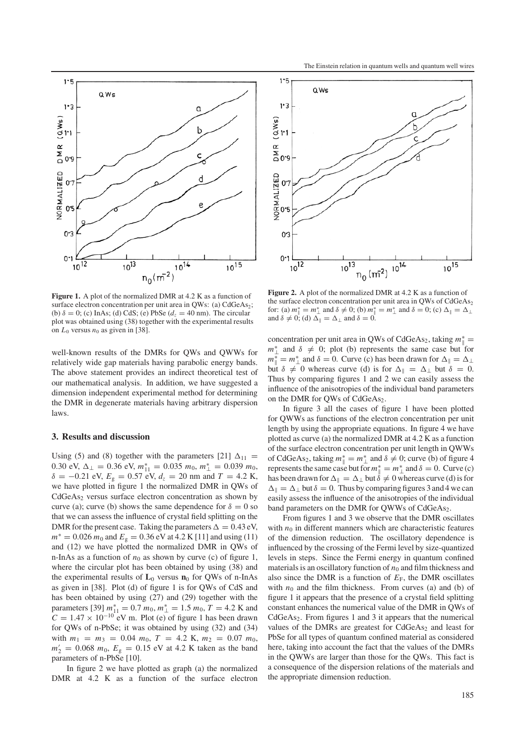

**Figure 1.** A plot of the normalized DMR at 4.2 K as a function of surface electron concentration per unit area in QWs: (a) CdGeAs<sub>2</sub>; (b)  $\delta = 0$ ; (c) InAs; (d) CdS; (e) PbSe  $(d_z = 40 \text{ nm})$ . The circular plot was obtained using (38) together with the experimental results on  $L_0$  versus  $n_0$  as given in [38].

well-known results of the DMRs for QWs and QWWs for relatively wide gap materials having parabolic energy bands. The above statement provides an indirect theoretical test of our mathematical analysis. In addition, we have suggested a dimension independent experimental method for determining the DMR in degenerate materials having arbitrary dispersion laws.

#### **3. Results and discussion**

Using (5) and (8) together with the parameters [21]  $\Delta_{11}$  =  $0.30 \text{ eV}, \Delta_{\perp} = 0.36 \text{ eV}, m_{11}^{*} = 0.035 m_0, m_{\perp}^{*} = 0.039 m_0,$  $\delta = -0.21$  eV,  $E_{\rm g} = 0.57$  eV,  $d_{\rm z} = 20$  nm and  $T = 4.2$  K, we have plotted in figure 1 the normalized DMR in QWs of  $CdGeAs<sub>2</sub>$  versus surface electron concentration as shown by curve (a); curve (b) shows the same dependence for  $\delta = 0$  so that we can assess the influence of crystal field splitting on the DMR for the present case. Taking the parameters  $\Delta = 0.43 \text{ eV}$ ,  $m$ <sup>∗</sup> = 0.026  $m_0$  and  $E<sub>g</sub>$  = 0.36 eV at 4.2 K [11] and using (11) and (12) we have plotted the normalized DMR in QWs of n-InAs as a function of  $n_0$  as shown by curve (c) of figure 1, where the circular plot has been obtained by using (38) and the experimental results of  $L_0$  versus  $n_0$  for QWs of n-InAs as given in [38]. Plot (d) of figure 1 is for QWs of CdS and has been obtained by using (27) and (29) together with the parameters [39]  $m_{11}^* = 0.7$   $m_0$ ,  $m_{\perp}^* = 1.5$   $m_0$ ,  $T = 4.2$  K and  $C = 1.47 \times 10^{-10}$  eV m. Plot (e) of figure 1 has been drawn for QWs of n-PbSe; it was obtained by using (32) and (34) with  $m_1 = m_3 = 0.04$   $m_0$ ,  $T = 4.2$  K,  $m_2 = 0.07$   $m_0$ ,  $m'_2 = 0.068 \, m_0, E_g = 0.15 \text{ eV}$  at 4.2 K taken as the band parameters of n-PbSe [10].

In figure 2 we have plotted as graph (a) the normalized DMR at 4.2 K as a function of the surface electron



**Figure 2.** A plot of the normalized DMR at 4.2 K as a function of the surface electron concentration per unit area in QWs of CdGeAs<sub>2</sub> for: (a)  $m^*_{\parallel} = m^*_{\perp}$  and  $\delta \neq 0$ ; (b)  $m^*_{\parallel} = m^*_{\perp}$  and  $\delta = 0$ ; (c)  $\Delta_{\parallel} = \Delta_{\perp}$ and  $\delta \neq 0$ ; (d)  $\Delta_{\parallel} = \Delta_{\perp}$  and  $\delta = 0$ .

concentration per unit area in QWs of CdGeAs<sub>2</sub>, taking  $m^*_{\parallel} =$  $m^*_{\perp}$  and  $\delta \neq 0$ ; plot (b) represents the same case but for  $m_{\parallel}^* = m_{\perp}^*$  and  $\delta = 0$ . Curve (c) has been drawn for  $\Delta_{\parallel} = \Delta_{\perp}$ but  $\delta \neq 0$  whereas curve (d) is for  $\Delta_{\parallel} = \Delta_{\perp}$  but  $\delta = 0$ . Thus by comparing figures 1 and 2 we can easily assess the influence of the anisotropies of the individual band parameters on the DMR for QWs of CdGeAs<sub>2</sub>.

In figure 3 all the cases of figure 1 have been plotted for QWWs as functions of the electron concentration per unit length by using the appropriate equations. In figure 4 we have plotted as curve (a) the normalized DMR at 4.2 K as a function of the surface electron concentration per unit length in QWWs of CdGeAs<sub>2</sub>, taking  $m^*_{\parallel} = m^*_{\perp}$  and  $\delta \neq 0$ ; curve (b) of figure 4 represents the same case but for  $m^*_{\parallel} = m^*_{\perp}$  and  $\delta = 0$ . Curve (c) has been drawn for  $\Delta_{\parallel} = \Delta_{\perp}$  but  $\delta \neq 0$  whereas curve (d) is for  $\Delta_{\parallel} = \Delta_{\perp}$  but  $\delta = 0$ . Thus by comparing figures 3 and 4 we can easily assess the influence of the anisotropies of the individual band parameters on the DMR for QWWs of CdGeAs<sub>2</sub>.

From figures 1 and 3 we observe that the DMR oscillates with  $n_0$  in different manners which are characteristic features of the dimension reduction. The oscillatory dependence is influenced by the crossing of the Fermi level by size-quantized levels in steps. Since the Fermi energy in quantum confined materials is an oscillatory function of  $n_0$  and film thickness and also since the DMR is a function of  $E_F$ , the DMR oscillates with  $n_0$  and the film thickness. From curves (a) and (b) of figure 1 it appears that the presence of a crystal field splitting constant enhances the numerical value of the DMR in QWs of  $CdGeAs<sub>2</sub>$ . From figures 1 and 3 it appears that the numerical values of the DMRs are greatest for CdGeAs<sub>2</sub> and least for PbSe for all types of quantum confined material as considered here, taking into account the fact that the values of the DMRs in the QWWs are larger than those for the QWs. This fact is a consequence of the dispersion relations of the materials and the appropriate dimension reduction.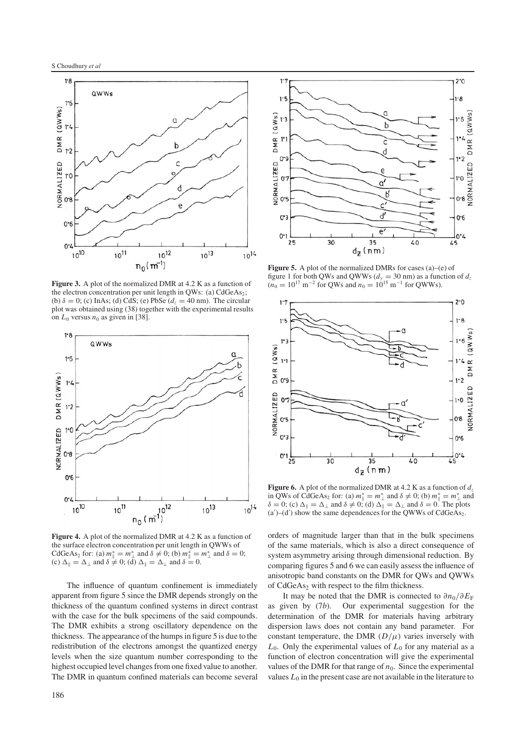

**Figure 3.** A plot of the normalized DMR at 4.2 K as a function of the electron concentration per unit length in QWs: (a)  $CdGeAs<sub>2</sub>$ ; (b)  $\delta = 0$ ; (c) InAs; (d) CdS; (e) PbSe  $(d_7 = 40 \text{ nm})$ . The circular plot was obtained using (38) together with the experimental results on  $L_0$  versus  $n_0$  as given in [38].



**Figure 4.** A plot of the normalized DMR at 4.2 K as a function of the surface electron concentration per unit length in QWWs of CdGeAs<sub>2</sub> for: (a)  $m^*_{\parallel} = m^*_{\perp}$  and  $\delta \neq 0$ ; (b)  $m^*_{\parallel} = m^*_{\perp}$  and  $\delta = 0$ ; (c)  $\Delta_{\parallel} = \Delta_{\perp}$  and  $\delta \neq 0$ ; (d)  $\Delta_{\parallel} = \Delta_{\perp}$  and  $\delta = 0$ .

The influence of quantum confinement is immediately apparent from figure 5 since the DMR depends strongly on the thickness of the quantum confined systems in direct contrast with the case for the bulk specimens of the said compounds. The DMR exhibits a strong oscillatory dependence on the thickness. The appearance of the humps in figure 5 is due to the redistribution of the electrons amongst the quantized energy levels when the size quantum number corresponding to the highest occupied level changes from one fixed value to another. The DMR in quantum confined materials can become several



**Figure 5.** A plot of the normalized DMRs for cases (a)–(e) of figure 1 for both QWs and QWWs ( $d<sub>y</sub> = 30$  nm) as a function of  $d<sub>z</sub>$  $(n_0 = 10^{17} \text{ m}^{-2} \text{ for QWs and } n_0 = 10^{15} \text{ m}^{-1} \text{ for QWWs}).$ 



**Figure 6.** A plot of the normalized DMR at 4.2 K as a function of *dz* in QWs of CdGeAs<sub>2</sub> for: (a)  $m^*_{\parallel} = m^*_{\perp}$  and  $\delta \neq 0$ ; (b)  $m^*_{\parallel} = m^*_{\perp}$  and  $\delta = 0$ ; (c)  $\Delta_{\parallel} = \Delta_{\perp}$  and  $\delta \neq 0$ ; (d)  $\Delta_{\parallel} = \Delta_{\perp}$  and  $\delta = 0$ . The plots  $(a')$ – $(d')$  show the same dependences for the QWWs of CdGeAs<sub>2</sub>.

orders of magnitude larger than that in the bulk specimens of the same materials, which is also a direct consequence of system asymmetry arising through dimensional reduction. By comparing figures 5 and 6 we can easily assess the influence of anisotropic band constants on the DMR for QWs and QWWs of CdGeAs<sub>2</sub> with respect to the film thickness.

It may be noted that the DMR is connected to  $\partial n_0 / \partial E_F$ as given by (7*b*). Our experimental suggestion for the determination of the DMR for materials having arbitrary dispersion laws does not contain any band parameter. For constant temperature, the DMR  $(D/\mu)$  varies inversely with  $L_0$ . Only the experimental values of  $L_0$  for any material as a function of electron concentration will give the experimental values of the DMR for that range of  $n_0$ . Since the experimental values  $L_0$  in the present case are not available in the literature to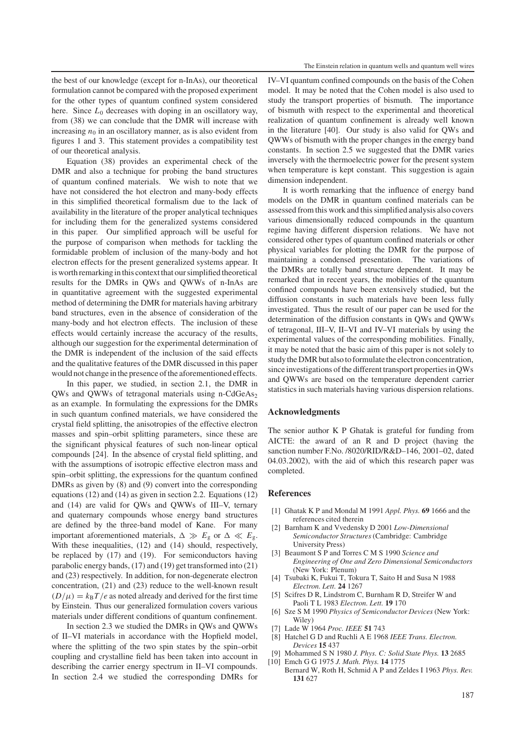the best of our knowledge (except for n-InAs), our theoretical formulation cannot be compared with the proposed experiment for the other types of quantum confined system considered here. Since  $L_0$  decreases with doping in an oscillatory way, from (38) we can conclude that the DMR will increase with increasing  $n_0$  in an oscillatory manner, as is also evident from figures 1 and 3. This statement provides a compatibility test of our theoretical analysis.

Equation (38) provides an experimental check of the DMR and also a technique for probing the band structures of quantum confined materials. We wish to note that we have not considered the hot electron and many-body effects in this simplified theoretical formalism due to the lack of availability in the literature of the proper analytical techniques for including them for the generalized systems considered in this paper. Our simplified approach will be useful for the purpose of comparison when methods for tackling the formidable problem of inclusion of the many-body and hot electron effects for the present generalized systems appear. It is worth remarking in this context that our simplified theoretical results for the DMRs in QWs and QWWs of n-InAs are in quantitative agreement with the suggested experimental method of determining the DMR for materials having arbitrary band structures, even in the absence of consideration of the many-body and hot electron effects. The inclusion of these effects would certainly increase the accuracy of the results, although our suggestion for the experimental determination of the DMR is independent of the inclusion of the said effects and the qualitative features of the DMR discussed in this paper would not change in the presence of the aforementioned effects.

In this paper, we studied, in section 2.1, the DMR in QWs and QWWs of tetragonal materials using n-CdGeAs<sub>2</sub> as an example. In formulating the expressions for the DMRs in such quantum confined materials, we have considered the crystal field splitting, the anisotropies of the effective electron masses and spin–orbit splitting parameters, since these are the significant physical features of such non-linear optical compounds [24]. In the absence of crystal field splitting, and with the assumptions of isotropic effective electron mass and spin–orbit splitting, the expressions for the quantum confined DMRs as given by (8) and (9) convert into the corresponding equations (12) and (14) as given in section 2.2. Equations (12) and (14) are valid for QWs and QWWs of III–V, ternary and quaternary compounds whose energy band structures are defined by the three-band model of Kane. For many important aforementioned materials,  $\Delta \gg E_{\rm g}$  or  $\Delta \ll E_{\rm g}$ . With these inequalities, (12) and (14) should, respectively, be replaced by (17) and (19). For semiconductors having parabolic energy bands, (17) and (19) get transformed into (21) and (23) respectively. In addition, for non-degenerate electron concentration, (21) and (23) reduce to the well-known result  $(D/\mu) = k_B T/e$  as noted already and derived for the first time by Einstein. Thus our generalized formulation covers various materials under different conditions of quantum confinement.

In section 2.3 we studied the DMRs in QWs and QWWs of II–VI materials in accordance with the Hopfield model, where the splitting of the two spin states by the spin–orbit coupling and crystalline field has been taken into account in describing the carrier energy spectrum in II–VI compounds. In section 2.4 we studied the corresponding DMRs for IV–VI quantum confined compounds on the basis of the Cohen model. It may be noted that the Cohen model is also used to study the transport properties of bismuth. The importance of bismuth with respect to the experimental and theoretical realization of quantum confinement is already well known in the literature [40]. Our study is also valid for QWs and QWWs of bismuth with the proper changes in the energy band constants. In section 2.5 we suggested that the DMR varies inversely with the thermoelectric power for the present system when temperature is kept constant. This suggestion is again dimension independent.

It is worth remarking that the influence of energy band models on the DMR in quantum confined materials can be assessed from this work and this simplified analysis also covers various dimensionally reduced compounds in the quantum regime having different dispersion relations. We have not considered other types of quantum confined materials or other physical variables for plotting the DMR for the purpose of maintaining a condensed presentation. The variations of the DMRs are totally band structure dependent. It may be remarked that in recent years, the mobilities of the quantum confined compounds have been extensively studied, but the diffusion constants in such materials have been less fully investigated. Thus the result of our paper can be used for the determination of the diffusion constants in QWs and QWWs of tetragonal, III–V, II–VI and IV–VI materials by using the experimental values of the corresponding mobilities. Finally, it may be noted that the basic aim of this paper is not solely to study the DMR but also to formulate the electron concentration, since investigations of the different transport properties in QWs and QWWs are based on the temperature dependent carrier statistics in such materials having various dispersion relations.

## **Acknowledgments**

The senior author K P Ghatak is grateful for funding from AICTE: the award of an R and D project (having the sanction number F.No. /8020/RID/R&D–146, 2001–02, dated 04.03.2002), with the aid of which this research paper was completed.

#### **References**

- [1] Ghatak K P and Mondal M 1991 *Appl. Phys.* **69** 1666 and the references cited therein
- [2] Barnham K and Vvedensky D 2001 *Low-Dimensional Semiconductor Structures* (Cambridge: Cambridge University Press)
- [3] Beaumont S P and Torres C M S 1990 *Science and Engineering of One and Zero Dimensional Semiconductors* (New York: Plenum)
- [4] Tsubaki K, Fukui T, Tokura T, Saito H and Susa N 1988 *Electron. Lett.* **24** 1267
- Scifres D R, Lindstrom C, Burnham R D, Streifer W and Paoli T L 1983 *Electron. Lett.* **19** 170
- [6] Sze S M 1990 *Physics of Semiconductor Devices* (New York: Wiley)
- [7] Lade W 1964 *Proc. IEEE* **51** 743
- [8] Hatchel G D and Ruchli A E 1968 *IEEE Trans. Electron. Devices* **15** 437
- [9] Mohammed S N 1980 *J. Phys. C: Solid State Phys.* **13** 2685
- [10] Emch G G 1975 *J. Math. Phys.* **14** 1775 Bernard W, Roth H, Schmid A P and Zeldes I 1963 *Phys. Rev.* **131** 627